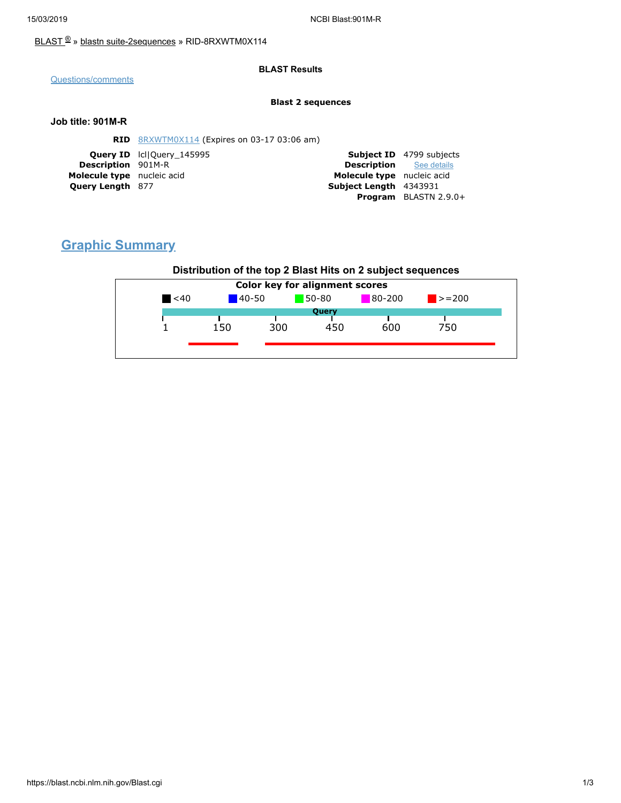### [BLAST](https://blast.ncbi.nlm.nih.gov/Blast.cgi) ® » blastn [suite-2sequences](https://blast.ncbi.nlm.nih.gov/Blast.cgi?PAGE=MegaBlast&PROGRAM=blastn&PAGE_TYPE=BlastSearch&BLAST_SPEC=blast2seq) » RID-8RXWTM0X114

### **BLAST Results**

[Questions/comments](https://support.nlm.nih.gov/support/create-case/)

#### **Blast 2 sequences**

### **Job title: 901M-R**

|                            | <b>RID</b> 8RXWTM0X114 (Expires on 03-17 03:06 am) |                                |                                 |
|----------------------------|----------------------------------------------------|--------------------------------|---------------------------------|
|                            | <b>Query ID</b> IcllOuery 145995                   |                                | <b>Subject ID</b> 4799 subjects |
| <b>Description</b> 901M-R  |                                                    | <b>Description</b> See details |                                 |
| Molecule type nucleic acid |                                                    | Molecule type nucleic acid     |                                 |
| <b>Query Length 877</b>    |                                                    | Subject Length 4343931         |                                 |
|                            |                                                    |                                | <b>Program</b> BLASTN 2.9.0+    |

# **Graphic Summary**

### **Distribution of the top 2 Blast Hits on 2 subject sequences**

| $80-200$<br>50-80<br>$\blacktriangle$ <40<br>$140-50$<br>$\blacktriangleright$ = 200<br>Query<br>300<br>450<br>150<br>600<br>750 | <b>Color key for alignment scores</b> |  |  |  |  |  |  |  |
|----------------------------------------------------------------------------------------------------------------------------------|---------------------------------------|--|--|--|--|--|--|--|
|                                                                                                                                  |                                       |  |  |  |  |  |  |  |
|                                                                                                                                  |                                       |  |  |  |  |  |  |  |
|                                                                                                                                  |                                       |  |  |  |  |  |  |  |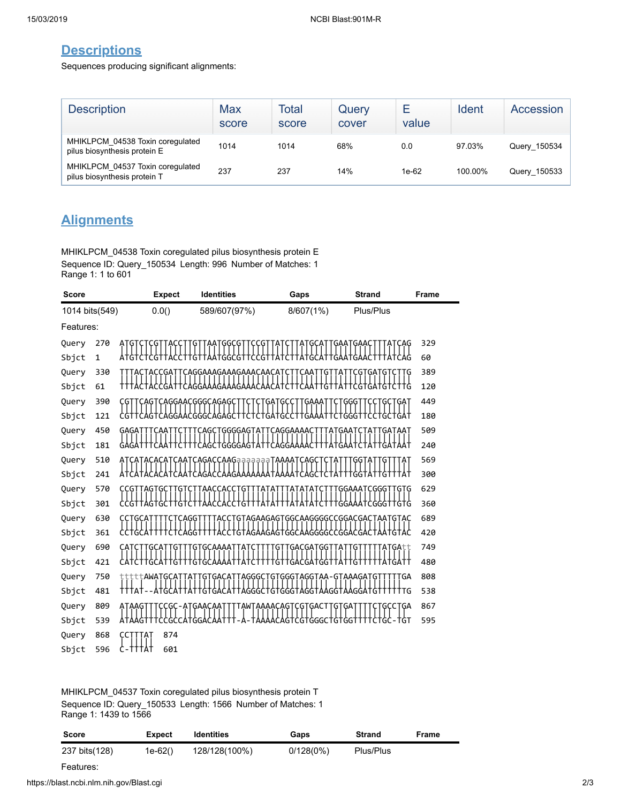## **Descriptions**

Sequences producing significant alignments:

| <b>Description</b>                                               | Max<br>score | Total<br>score | Query<br>cover | ⊢<br>value | Ident   | Accession    |
|------------------------------------------------------------------|--------------|----------------|----------------|------------|---------|--------------|
| MHIKLPCM 04538 Toxin coregulated<br>pilus biosynthesis protein E | 1014         | 1014           | 68%            | 0.0        | 97.03%  | Query 150534 |
| MHIKLPCM 04537 Toxin coregulated<br>pilus biosynthesis protein T | 237          | 237            | 14%            | 1e-62      | 100.00% | Query_150533 |

# **Alignments**

MHIKLPCM\_04538 Toxin coregulated pilus biosynthesis protein E Sequence ID: Query\_150534 Length: 996 Number of Matches: 1 Range 1: 1 to 601

| <b>Score</b>   |             |                    | <b>Expect</b> | <b>Identities</b>                           | Gaps                            | <b>Strand</b>                     | Frame |
|----------------|-------------|--------------------|---------------|---------------------------------------------|---------------------------------|-----------------------------------|-------|
| 1014 bits(549) |             |                    | 0.0()         | 589/607(97%)                                | 8/607(1%)                       | Plus/Plus                         |       |
| Features:      |             |                    |               |                                             |                                 |                                   |       |
| Query          | 270         |                    |               | GGCG                                        |                                 | `GAA                              | 329   |
| Sbjct          | $\mathbf 1$ |                    |               |                                             |                                 |                                   | 60    |
| Query          | 330         |                    | GA.           | CAGGAAAGAAAGAAACAACA                        |                                 | GAT<br>G                          | 389   |
| Sbjct          | 61          |                    |               |                                             |                                 |                                   | 120   |
| Query          | 390         | CGT                |               | <b>CAGTCAGGAACGGGCAGAGCTT</b><br><b>CTC</b> | TGATGCC<br>TGAAAT               | <b>CTGGGTTCCTGCTGAT</b>           | 449   |
| Sbjct          | 121         |                    |               | :GGGC<br>GΑ                                 |                                 |                                   | 180   |
| Query          | 450         | gaga               |               | GGGGAGT <sup>.</sup><br>AGC<br>Ά            | CAGGAAAAC                       |                                   | 509   |
| Sbjct          | 181         |                    |               |                                             |                                 |                                   | 240   |
| Query          | 510         |                    |               | CAGACCAAGaaaaaaaTAAAATCAGC                  |                                 | GG I                              | 569   |
| Sbjct          | 241         |                    |               |                                             |                                 |                                   | 300   |
| Query          | 570         | G                  | G<br>G        | G                                           |                                 | GGAAAT<br><b>CGGG</b><br>.<br>9Tq | 629   |
| Sbjct          | 301         |                    |               |                                             |                                 |                                   | 360   |
| Query          | 630         |                    |               | Ģ                                           | AGAAGAGTGGCAAGGGGCCGGACGACT     | <b>AATGTAC</b>                    | 689   |
| Sbjct          | 361         |                    |               |                                             | GAG <sup>-</sup><br>GG          | G<br>G                            | 420   |
| Query          | 690         | <b>GCAT</b><br>CAT | GТ            | <b>GTGCAAAAT</b><br>TAT                     | TGACGATGGTTAT<br>GΤ             | GT.<br>TATGAtt                    | 749   |
| Sbjct          | 421         |                    |               |                                             | G                               |                                   | 480   |
| Query          | 750         | tt <b>AWATGCA</b>  |               | AGGG<br>Ģ<br>GА                             | GGG<br>TAGGTAA-<br>G            | GTAAAGAT<br>GΑ<br>Ģ               | 808   |
| Sbjct          | 481         | TTTAT              | G۱            | AGGGC                                       | GGG<br>G<br>GT<br>GG            | TTG<br>G                          | 538   |
| Query          | 809         | ATAAG              | GC            | TAWTAAAACAGT<br>ATGAACAA                    | <b>GACT</b><br><b>CGT</b><br>GT | GΑ<br>GCCTGA                      | 867   |
| Sbjct          | 539         |                    | CCGC          | GG                                          | :GTGGGC                         | TĠT<br>TGTGG                      | 595   |
| Query          | 868         |                    | 874           |                                             |                                 |                                   |       |
| Sbjct          | 596         | '†Å†               | 601           |                                             |                                 |                                   |       |

#### MHIKLPCM\_04537 Toxin coregulated pilus biosynthesis protein T Sequence ID: Query\_150533 Length: 1566 Number of Matches: 1 Range 1: 1439 to 1566

| <b>Score</b>  | <b>Expect</b> | <b>Identities</b> | Gaps      | <b>Strand</b> | Frame |
|---------------|---------------|-------------------|-----------|---------------|-------|
| 237 bits(128) | 1e-62()       | 128/128(100%)     | 0/128(0%) | Plus/Plus     |       |
| Features:     |               |                   |           |               |       |